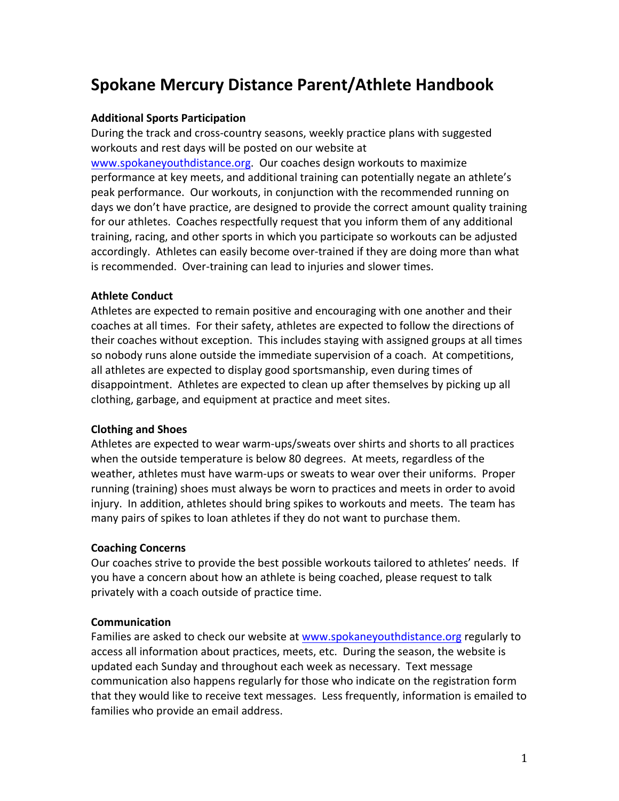# **Spokane Mercury Distance Parent/Athlete Handbook**

#### **Additional Sports Participation**

During the track and cross-country seasons, weekly practice plans with suggested workouts and rest days will be posted on our website at

www.spokaneyouthdistance.org. Our coaches design workouts to maximize performance at key meets, and additional training can potentially negate an athlete's peak performance. Our workouts, in conjunction with the recommended running on days we don't have practice, are designed to provide the correct amount quality training for our athletes. Coaches respectfully request that you inform them of any additional training, racing, and other sports in which you participate so workouts can be adjusted accordingly. Athletes can easily become over-trained if they are doing more than what is recommended. Over-training can lead to injuries and slower times.

#### **Athlete Conduct**

Athletes are expected to remain positive and encouraging with one another and their coaches at all times. For their safety, athletes are expected to follow the directions of their coaches without exception. This includes staying with assigned groups at all times so nobody runs alone outside the immediate supervision of a coach. At competitions, all athletes are expected to display good sportsmanship, even during times of disappointment. Athletes are expected to clean up after themselves by picking up all clothing, garbage, and equipment at practice and meet sites.

#### **Clothing and Shoes**

Athletes are expected to wear warm-ups/sweats over shirts and shorts to all practices when the outside temperature is below 80 degrees. At meets, regardless of the weather, athletes must have warm-ups or sweats to wear over their uniforms. Proper running (training) shoes must always be worn to practices and meets in order to avoid injury. In addition, athletes should bring spikes to workouts and meets. The team has many pairs of spikes to loan athletes if they do not want to purchase them.

#### **Coaching Concerns**

Our coaches strive to provide the best possible workouts tailored to athletes' needs. If you have a concern about how an athlete is being coached, please request to talk privately with a coach outside of practice time.

#### **Communication**

Families are asked to check our website at www.spokaneyouthdistance.org regularly to access all information about practices, meets, etc. During the season, the website is updated each Sunday and throughout each week as necessary. Text message communication also happens regularly for those who indicate on the registration form that they would like to receive text messages. Less frequently, information is emailed to families who provide an email address.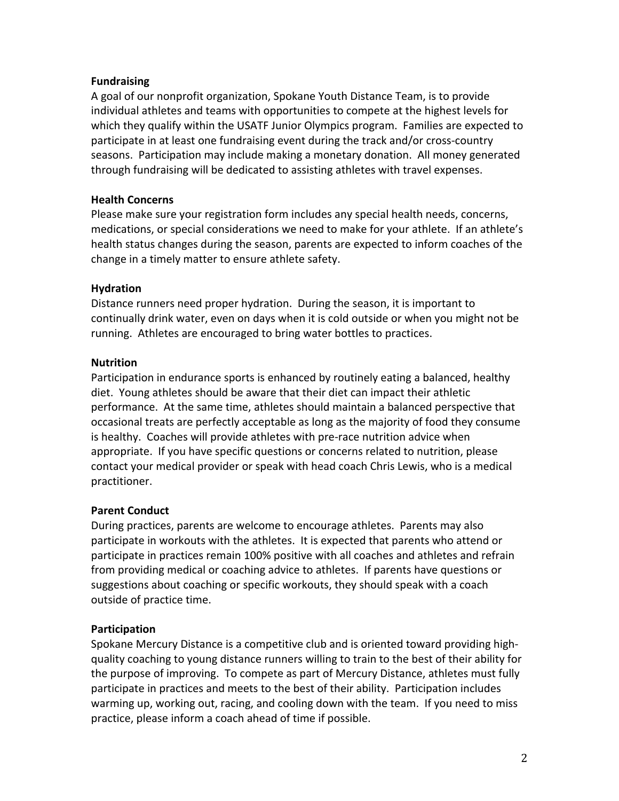### **Fundraising**

A goal of our nonprofit organization, Spokane Youth Distance Team, is to provide individual athletes and teams with opportunities to compete at the highest levels for which they qualify within the USATF Junior Olympics program. Families are expected to participate in at least one fundraising event during the track and/or cross-country seasons. Participation may include making a monetary donation. All money generated through fundraising will be dedicated to assisting athletes with travel expenses.

#### **Health Concerns**

Please make sure your registration form includes any special health needs, concerns, medications, or special considerations we need to make for your athlete. If an athlete's health status changes during the season, parents are expected to inform coaches of the change in a timely matter to ensure athlete safety.

#### **Hydration**

Distance runners need proper hydration. During the season, it is important to continually drink water, even on days when it is cold outside or when you might not be running. Athletes are encouraged to bring water bottles to practices.

#### **Nutrition**

Participation in endurance sports is enhanced by routinely eating a balanced, healthy diet. Young athletes should be aware that their diet can impact their athletic performance. At the same time, athletes should maintain a balanced perspective that occasional treats are perfectly acceptable as long as the majority of food they consume is healthy. Coaches will provide athletes with pre-race nutrition advice when appropriate. If you have specific questions or concerns related to nutrition, please contact your medical provider or speak with head coach Chris Lewis, who is a medical practitioner. 

## **Parent Conduct**

During practices, parents are welcome to encourage athletes. Parents may also participate in workouts with the athletes. It is expected that parents who attend or participate in practices remain 100% positive with all coaches and athletes and refrain from providing medical or coaching advice to athletes. If parents have questions or suggestions about coaching or specific workouts, they should speak with a coach outside of practice time.

## **Participation**

Spokane Mercury Distance is a competitive club and is oriented toward providing highquality coaching to young distance runners willing to train to the best of their ability for the purpose of improving. To compete as part of Mercury Distance, athletes must fully participate in practices and meets to the best of their ability. Participation includes warming up, working out, racing, and cooling down with the team. If you need to miss practice, please inform a coach ahead of time if possible.